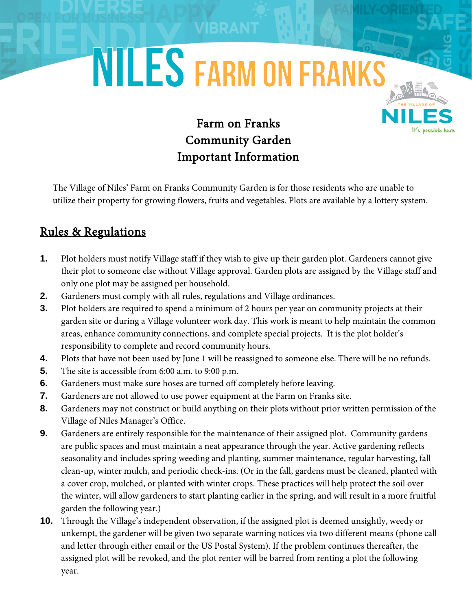## **NILES FARM ON FRANKS**

## Farm on Franks Community Garden Important Information

The Village of Niles' Farm on Franks Community Garden is for those residents who are unable to utilize their property for growing flowers, fruits and vegetables. Plots are available by a lottery system.

## Rules & Regulations

- **1.** Plot holders must notify Village staff if they wish to give up their garden plot. Gardeners cannot give their plot to someone else without Village approval. Garden plots are assigned by the Village staff and only one plot may be assigned per household.
- **2.** Gardeners must comply with all rules, regulations and Village ordinances.
- **3.** Plot holders are required to spend a minimum of 2 hours per year on community projects at their garden site or during a Village volunteer work day. This work is meant to help maintain the common areas, enhance community connections, and complete special projects. It is the plot holder's responsibility to complete and record community hours.
- **4.** Plots that have not been used by June 1 will be reassigned to someone else. There will be no refunds.
- **5.** The site is accessible from 6:00 a.m. to 9:00 p.m.
- **6.** Gardeners must make sure hoses are turned off completely before leaving.
- **7.** Gardeners are not allowed to use power equipment at the Farm on Franks site.
- **8.** Gardeners may not construct or build anything on their plots without prior written permission of the Village of Niles Manager's Office.
- **9.** Gardeners are entirely responsible for the maintenance of their assigned plot. Community gardens are public spaces and must maintain a neat appearance through the year. Active gardening reflects seasonality and includes spring weeding and planting, summer maintenance, regular harvesting, fall clean-up, winter mulch, and periodic check-ins. (Or in the fall, gardens must be cleaned, planted with a cover crop, mulched, or planted with winter crops. These practices will help protect the soil over the winter, will allow gardeners to start planting earlier in the spring, and will result in a more fruitful garden the following year.)
- **10.** Through the Village's independent observation, if the assigned plot is deemed unsightly, weedy or unkempt, the gardener will be given two separate warning notices via two different means (phone call and letter through either email or the US Postal System). If the problem continues thereafter, the assigned plot will be revoked, and the plot renter will be barred from renting a plot the following year.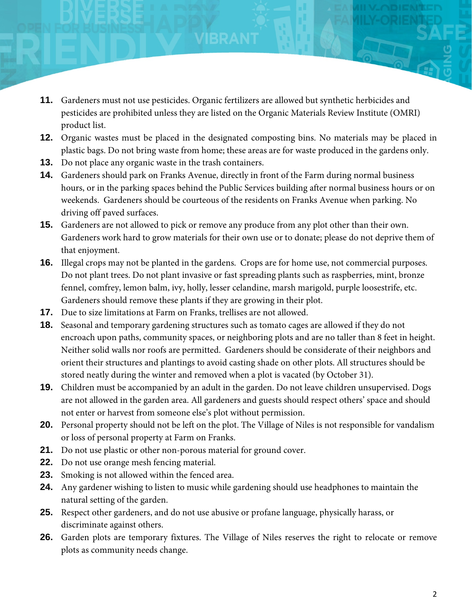- **11.** Gardeners must not use pesticides. Organic fertilizers are allowed but synthetic herbicides and pesticides are prohibited unless they are listed on the Organic Materials Review Institute (OMRI) product list.
- **12.** Organic wastes must be placed in the designated composting bins. No materials may be placed in plastic bags. Do not bring waste from home; these areas are for waste produced in the gardens only.
- **13.** Do not place any organic waste in the trash containers.
- **14.** Gardeners should park on Franks Avenue, directly in front of the Farm during normal business hours, or in the parking spaces behind the Public Services building after normal business hours or on weekends. Gardeners should be courteous of the residents on Franks Avenue when parking. No driving off paved surfaces.
- **15.** Gardeners are not allowed to pick or remove any produce from any plot other than their own. Gardeners work hard to grow materials for their own use or to donate; please do not deprive them of that enjoyment.
- **16.** Illegal crops may not be planted in the gardens. Crops are for home use, not commercial purposes. Do not plant trees. Do not plant invasive or fast spreading plants such as raspberries, mint, bronze fennel, comfrey, lemon balm, ivy, holly, lesser celandine, marsh marigold, purple loosestrife, etc. Gardeners should remove these plants if they are growing in their plot.
- **17.** Due to size limitations at Farm on Franks, trellises are not allowed.
- **18.** Seasonal and temporary gardening structures such as tomato cages are allowed if they do not encroach upon paths, community spaces, or neighboring plots and are no taller than 8 feet in height. Neither solid walls nor roofs are permitted. Gardeners should be considerate of their neighbors and orient their structures and plantings to avoid casting shade on other plots. All structures should be stored neatly during the winter and removed when a plot is vacated (by October 31).
- **19.** Children must be accompanied by an adult in the garden. Do not leave children unsupervised. Dogs are not allowed in the garden area. All gardeners and guests should respect others' space and should not enter or harvest from someone else's plot without permission.
- **20.** Personal property should not be left on the plot. The Village of Niles is not responsible for vandalism or loss of personal property at Farm on Franks.
- **21.** Do not use plastic or other non-porous material for ground cover.
- **22.** Do not use orange mesh fencing material.
- **23.** Smoking is not allowed within the fenced area.
- **24.** Any gardener wishing to listen to music while gardening should use headphones to maintain the natural setting of the garden.
- **25.** Respect other gardeners, and do not use abusive or profane language, physically harass, or discriminate against others.
- **26.** Garden plots are temporary fixtures. The Village of Niles reserves the right to relocate or remove plots as community needs change.